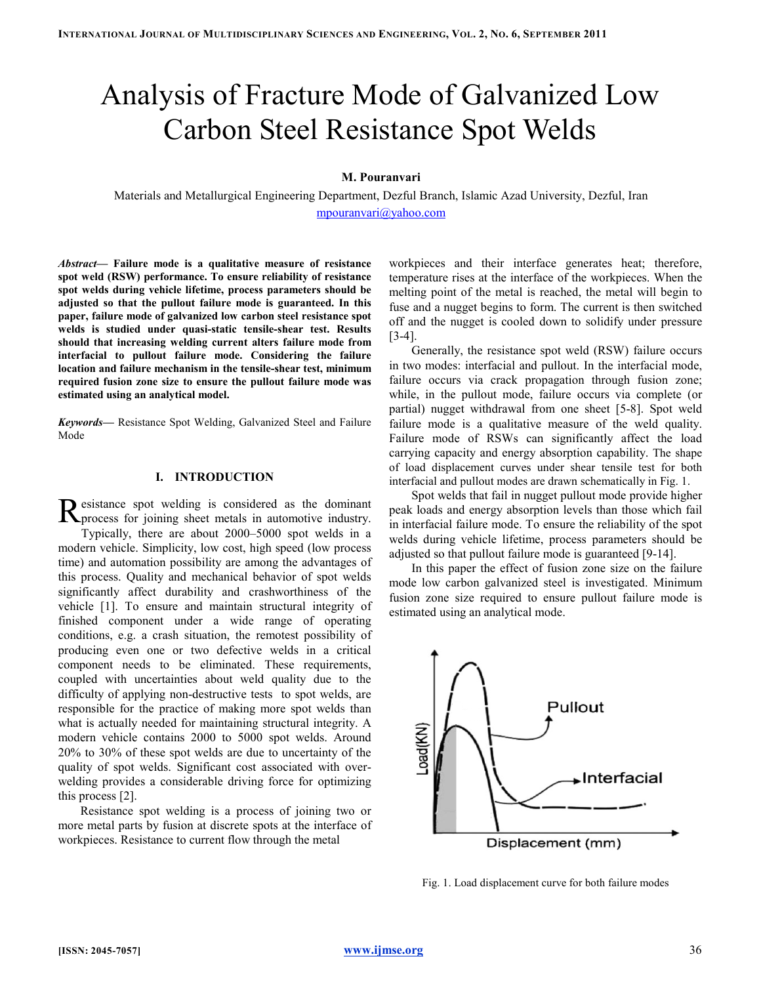# Analysis of Fracture Mode of Galvanized Low Carbon Steel Resistance Spot Welds

# M. Pouranvari

Materials and Metallurgical Engineering Department, Dezful Branch, Islamic Azad University, Dezful, Iran mpouranvari@yahoo.com

Abstract— Failure mode is a qualitative measure of resistance spot weld (RSW) performance. To ensure reliability of resistance spot welds during vehicle lifetime, process parameters should be adjusted so that the pullout failure mode is guaranteed. In this paper, failure mode of galvanized low carbon steel resistance spot welds is studied under quasi-static tensile-shear test. Results should that increasing welding current alters failure mode from interfacial to pullout failure mode. Considering the failure location and failure mechanism in the tensile-shear test, minimum required fusion zone size to ensure the pullout failure mode was estimated using an analytical model.

Keywords— Resistance Spot Welding, Galvanized Steel and Failure Mode

# I. INTRODUCTION

**esistance** spot welding is considered as the dominant Resistance spot welding is considered as the dominant Reprocess for joining sheet metals in automotive industry. Typically, there are about 2000–5000 spot welds in a modern vehicle. Simplicity, low cost, high speed (low process time) and automation possibility are among the advantages of this process. Quality and mechanical behavior of spot welds significantly affect durability and crashworthiness of the vehicle [1]. To ensure and maintain structural integrity of finished component under a wide range of operating conditions, e.g. a crash situation, the remotest possibility of producing even one or two defective welds in a critical component needs to be eliminated. These requirements, coupled with uncertainties about weld quality due to the difficulty of applying non-destructive tests to spot welds, are responsible for the practice of making more spot welds than what is actually needed for maintaining structural integrity. A modern vehicle contains 2000 to 5000 spot welds. Around 20% to 30% of these spot welds are due to uncertainty of the quality of spot welds. Significant cost associated with overwelding provides a considerable driving force for optimizing this process [2].

Resistance spot welding is a process of joining two or more metal parts by fusion at discrete spots at the interface of workpieces. Resistance to current flow through the metal

workpieces and their interface generates heat; therefore, temperature rises at the interface of the workpieces. When the melting point of the metal is reached, the metal will begin to fuse and a nugget begins to form. The current is then switched off and the nugget is cooled down to solidify under pressure [3-4].

Generally, the resistance spot weld (RSW) failure occurs in two modes: interfacial and pullout. In the interfacial mode, failure occurs via crack propagation through fusion zone; while, in the pullout mode, failure occurs via complete (or partial) nugget withdrawal from one sheet [5-8]. Spot weld failure mode is a qualitative measure of the weld quality. Failure mode of RSWs can significantly affect the load carrying capacity and energy absorption capability. The shape of load displacement curves under shear tensile test for both interfacial and pullout modes are drawn schematically in Fig. 1.

Spot welds that fail in nugget pullout mode provide higher peak loads and energy absorption levels than those which fail in interfacial failure mode. To ensure the reliability of the spot welds during vehicle lifetime, process parameters should be adjusted so that pullout failure mode is guaranteed [9-14].

In this paper the effect of fusion zone size on the failure mode low carbon galvanized steel is investigated. Minimum fusion zone size required to ensure pullout failure mode is estimated using an analytical mode.



Fig. 1. Load displacement curve for both failure modes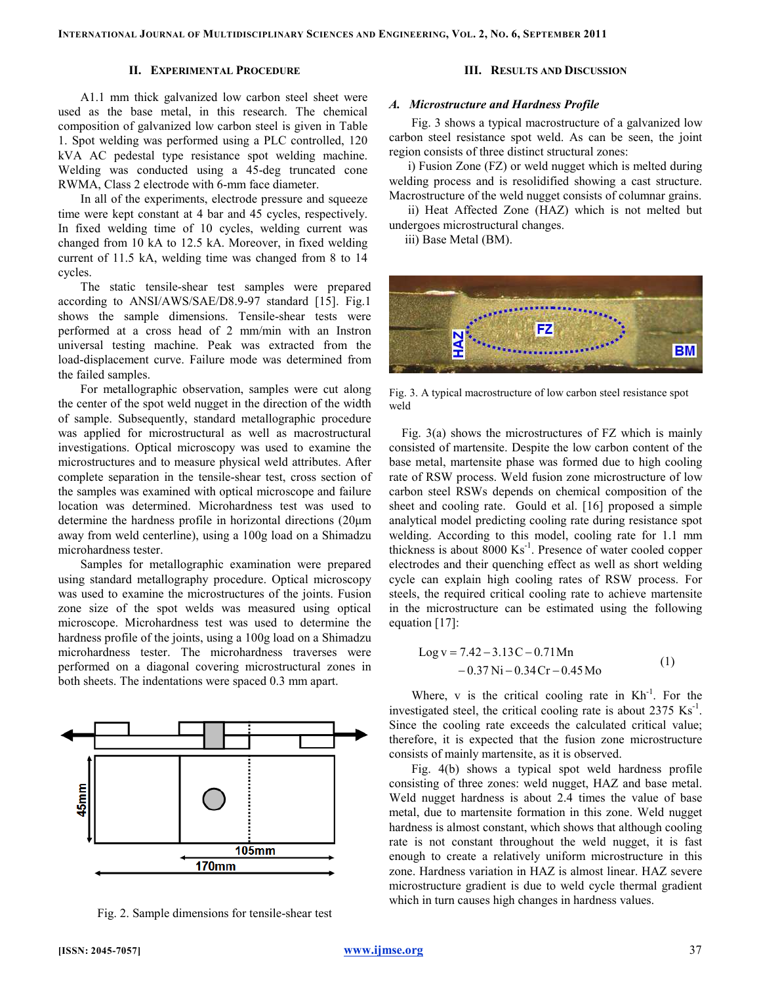INTERNATIONAL JOURNAL OF MULTIDISCIPLINARY SCIENCES AND ENGINEERING, VOL. 2, NO. 6, SEPTEMBER 2011

# II. EXPERIMENTAL PROCEDURE

# III. RESULTS AND DISCUSSION

A1.1 mm thick galvanized low carbon steel sheet were used as the base metal, in this research. The chemical composition of galvanized low carbon steel is given in Table 1. Spot welding was performed using a PLC controlled, 120 kVA AC pedestal type resistance spot welding machine. Welding was conducted using a 45-deg truncated cone RWMA, Class 2 electrode with 6-mm face diameter.

In all of the experiments, electrode pressure and squeeze time were kept constant at 4 bar and 45 cycles, respectively. In fixed welding time of 10 cycles, welding current was changed from 10 kA to 12.5 kA. Moreover, in fixed welding current of 11.5 kA, welding time was changed from 8 to 14 cycles.

The static tensile-shear test samples were prepared according to ANSI/AWS/SAE/D8.9-97 standard [15]. Fig.1 shows the sample dimensions. Tensile-shear tests were performed at a cross head of 2 mm/min with an Instron universal testing machine. Peak was extracted from the load-displacement curve. Failure mode was determined from the failed samples.

For metallographic observation, samples were cut along the center of the spot weld nugget in the direction of the width of sample. Subsequently, standard metallographic procedure was applied for microstructural as well as macrostructural investigations. Optical microscopy was used to examine the microstructures and to measure physical weld attributes. After complete separation in the tensile-shear test, cross section of the samples was examined with optical microscope and failure location was determined. Microhardness test was used to determine the hardness profile in horizontal directions (20µm away from weld centerline), using a 100g load on a Shimadzu microhardness tester.

Samples for metallographic examination were prepared using standard metallography procedure. Optical microscopy was used to examine the microstructures of the joints. Fusion zone size of the spot welds was measured using optical microscope. Microhardness test was used to determine the hardness profile of the joints, using a 100g load on a Shimadzu microhardness tester. The microhardness traverses were performed on a diagonal covering microstructural zones in both sheets. The indentations were spaced 0.3 mm apart.



Fig. 2. Sample dimensions for tensile-shear test

# A. Microstructure and Hardness Profile

Fig. 3 shows a typical macrostructure of a galvanized low carbon steel resistance spot weld. As can be seen, the joint region consists of three distinct structural zones:

 i) Fusion Zone (FZ) or weld nugget which is melted during welding process and is resolidified showing a cast structure. Macrostructure of the weld nugget consists of columnar grains.

 ii) Heat Affected Zone (HAZ) which is not melted but undergoes microstructural changes.

iii) Base Metal (BM).



Fig. 3. A typical macrostructure of low carbon steel resistance spot weld

Fig. 3(a) shows the microstructures of FZ which is mainly consisted of martensite. Despite the low carbon content of the base metal, martensite phase was formed due to high cooling rate of RSW process. Weld fusion zone microstructure of low carbon steel RSWs depends on chemical composition of the sheet and cooling rate. Gould et al. [16] proposed a simple analytical model predicting cooling rate during resistance spot welding. According to this model, cooling rate for 1.1 mm thickness is about  $8000 \text{ Ks}^{-1}$ . Presence of water cooled copper electrodes and their quenching effect as well as short welding cycle can explain high cooling rates of RSW process. For steels, the required critical cooling rate to achieve martensite in the microstructure can be estimated using the following equation [17]:

$$
Log v = 7.42 - 3.13C - 0.71Mn
$$
  
- 0.37 Ni - 0.34Cr - 0.45Mo (1)

Where,  $v$  is the critical cooling rate in  $Kh^{-1}$ . For the investigated steel, the critical cooling rate is about  $2375 \text{ Ks}^{-1}$ . Since the cooling rate exceeds the calculated critical value; therefore, it is expected that the fusion zone microstructure consists of mainly martensite, as it is observed.

Fig. 4(b) shows a typical spot weld hardness profile consisting of three zones: weld nugget, HAZ and base metal. Weld nugget hardness is about 2.4 times the value of base metal, due to martensite formation in this zone. Weld nugget hardness is almost constant, which shows that although cooling rate is not constant throughout the weld nugget, it is fast enough to create a relatively uniform microstructure in this zone. Hardness variation in HAZ is almost linear. HAZ severe microstructure gradient is due to weld cycle thermal gradient which in turn causes high changes in hardness values.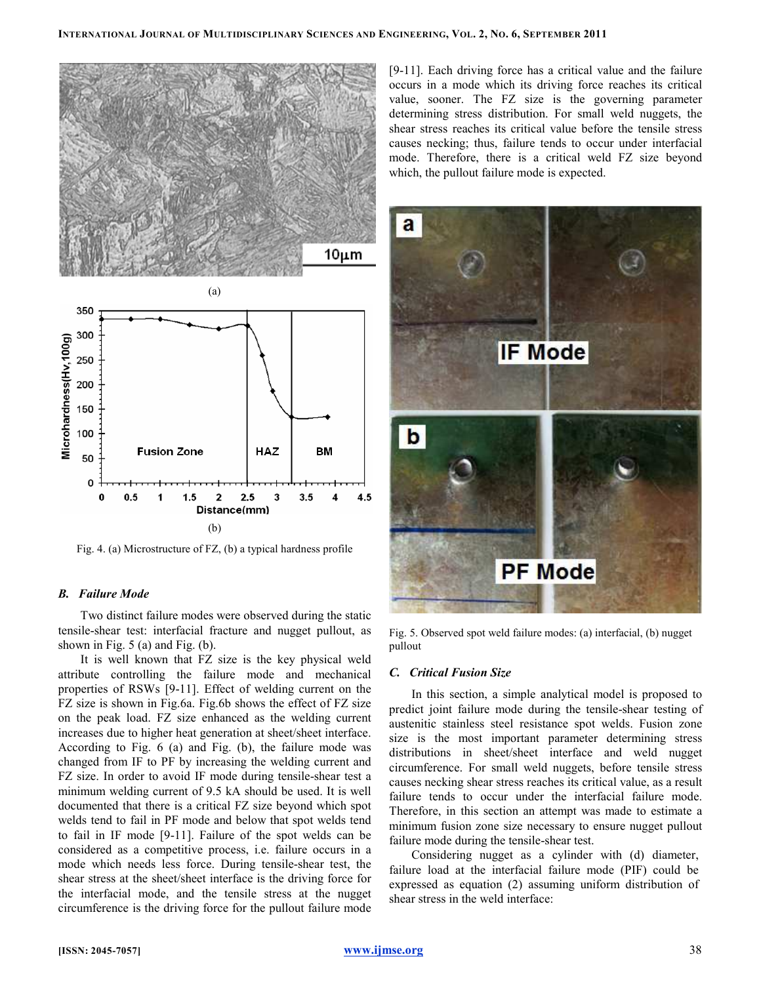



Fig. 4. (a) Microstructure of FZ, (b) a typical hardness profile

#### B. Failure Mode

Two distinct failure modes were observed during the static tensile-shear test: interfacial fracture and nugget pullout, as shown in Fig. 5 (a) and Fig. (b).

It is well known that FZ size is the key physical weld attribute controlling the failure mode and mechanical properties of RSWs [9-11]. Effect of welding current on the FZ size is shown in Fig.6a. Fig.6b shows the effect of FZ size on the peak load. FZ size enhanced as the welding current increases due to higher heat generation at sheet/sheet interface. According to Fig. 6 (a) and Fig. (b), the failure mode was changed from IF to PF by increasing the welding current and FZ size. In order to avoid IF mode during tensile-shear test a minimum welding current of 9.5 kA should be used. It is well documented that there is a critical FZ size beyond which spot welds tend to fail in PF mode and below that spot welds tend to fail in IF mode [9-11]. Failure of the spot welds can be considered as a competitive process, i.e. failure occurs in a mode which needs less force. During tensile-shear test, the shear stress at the sheet/sheet interface is the driving force for the interfacial mode, and the tensile stress at the nugget circumference is the driving force for the pullout failure mode

[9-11]. Each driving force has a critical value and the failure occurs in a mode which its driving force reaches its critical value, sooner. The FZ size is the governing parameter determining stress distribution. For small weld nuggets, the shear stress reaches its critical value before the tensile stress causes necking; thus, failure tends to occur under interfacial mode. Therefore, there is a critical weld FZ size beyond which, the pullout failure mode is expected.



Fig. 5. Observed spot weld failure modes: (a) interfacial, (b) nugget pullout

#### C. Critical Fusion Size

In this section, a simple analytical model is proposed to predict joint failure mode during the tensile-shear testing of austenitic stainless steel resistance spot welds. Fusion zone size is the most important parameter determining stress distributions in sheet/sheet interface and weld nugget circumference. For small weld nuggets, before tensile stress causes necking shear stress reaches its critical value, as a result failure tends to occur under the interfacial failure mode. Therefore, in this section an attempt was made to estimate a minimum fusion zone size necessary to ensure nugget pullout failure mode during the tensile-shear test.

Considering nugget as a cylinder with (d) diameter, failure load at the interfacial failure mode (PIF) could be expressed as equation (2) assuming uniform distribution of shear stress in the weld interface: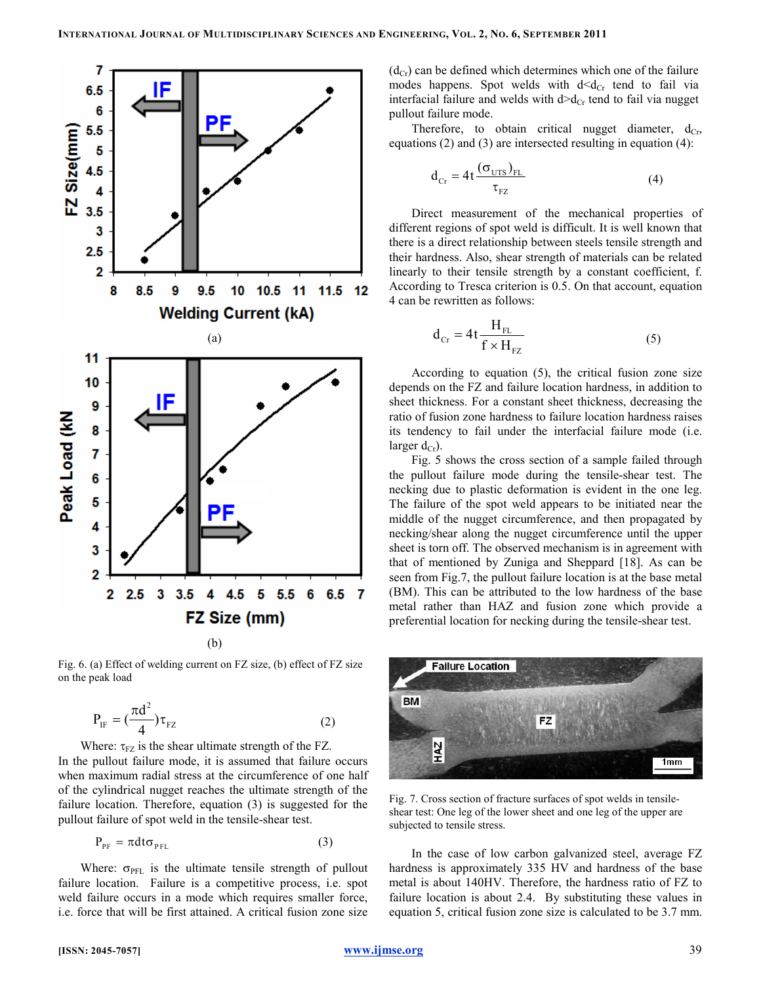

Fig. 6. (a) Effect of welding current on FZ size, (b) effect of FZ size on the peak load

$$
P_{IF} = \left(\frac{\pi d^2}{4}\right) \tau_{FZ} \tag{2}
$$

Where:  $\tau_{FZ}$  is the shear ultimate strength of the FZ. In the pullout failure mode, it is assumed that failure occurs when maximum radial stress at the circumference of one half of the cylindrical nugget reaches the ultimate strength of the failure location. Therefore, equation (3) is suggested for the pullout failure of spot weld in the tensile-shear test.

$$
P_{PF} = \pi dt \sigma_{PFL}
$$
 (3)

Where:  $\sigma_{\text{PFL}}$  is the ultimate tensile strength of pullout failure location. Failure is a competitive process, i.e. spot weld failure occurs in a mode which requires smaller force, i.e. force that will be first attained. A critical fusion zone size  $(d_{Cr})$  can be defined which determines which one of the failure modes happens. Spot welds with  $d < d_{Cr}$  tend to fail via interfacial failure and welds with  $d>d_{Cr}$  tend to fail via nugget pullout failure mode.

Therefore, to obtain critical nugget diameter,  $d_{Cr}$ , equations (2) and (3) are intersected resulting in equation (4):

$$
d_{Cr} = 4t \frac{(\sigma_{UTS})_{FL}}{\tau_{FZ}}
$$
 (4)

Direct measurement of the mechanical properties of different regions of spot weld is difficult. It is well known that there is a direct relationship between steels tensile strength and their hardness. Also, shear strength of materials can be related linearly to their tensile strength by a constant coefficient, f. According to Tresca criterion is 0.5. On that account, equation 4 can be rewritten as follows:

$$
d_{Cr} = 4t \frac{H_{FL}}{f \times H_{FZ}} \tag{5}
$$

According to equation (5), the critical fusion zone size depends on the FZ and failure location hardness, in addition to sheet thickness. For a constant sheet thickness, decreasing the ratio of fusion zone hardness to failure location hardness raises its tendency to fail under the interfacial failure mode (i.e. larger  $d_{Cr}$ ).

Fig. 5 shows the cross section of a sample failed through the pullout failure mode during the tensile-shear test. The necking due to plastic deformation is evident in the one leg. The failure of the spot weld appears to be initiated near the middle of the nugget circumference, and then propagated by necking/shear along the nugget circumference until the upper sheet is torn off. The observed mechanism is in agreement with that of mentioned by Zuniga and Sheppard [18]. As can be seen from Fig.7, the pullout failure location is at the base metal (BM). This can be attributed to the low hardness of the base metal rather than HAZ and fusion zone which provide a preferential location for necking during the tensile-shear test.



Fig. 7. Cross section of fracture surfaces of spot welds in tensileshear test: One leg of the lower sheet and one leg of the upper are subjected to tensile stress.

In the case of low carbon galvanized steel, average FZ hardness is approximately 335 HV and hardness of the base metal is about 140HV. Therefore, the hardness ratio of FZ to failure location is about 2.4. By substituting these values in equation 5, critical fusion zone size is calculated to be 3.7 mm.